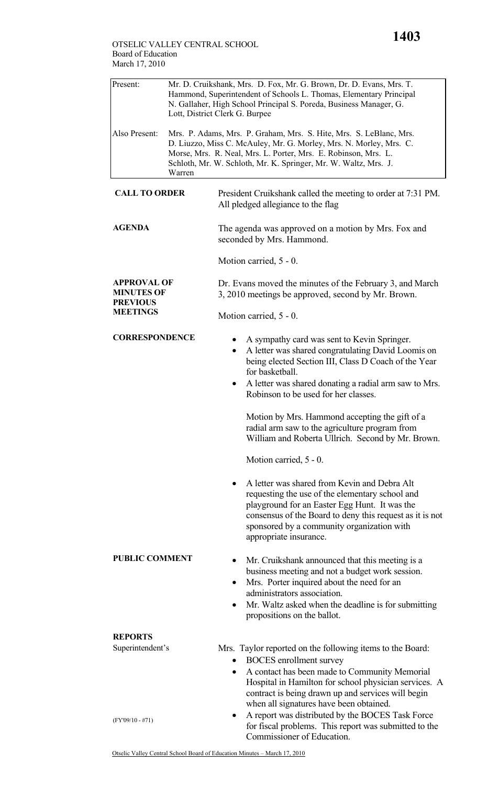| Present:                                                                      | Mr. D. Cruikshank, Mrs. D. Fox, Mr. G. Brown, Dr. D. Evans, Mrs. T.<br>Hammond, Superintendent of Schools L. Thomas, Elementary Principal<br>N. Gallaher, High School Principal S. Poreda, Business Manager, G.<br>Lott, District Clerk G. Burpee |                                                                                                                                                                                                                                                                                                                          |
|-------------------------------------------------------------------------------|---------------------------------------------------------------------------------------------------------------------------------------------------------------------------------------------------------------------------------------------------|--------------------------------------------------------------------------------------------------------------------------------------------------------------------------------------------------------------------------------------------------------------------------------------------------------------------------|
| Also Present:                                                                 | Warren                                                                                                                                                                                                                                            | Mrs. P. Adams, Mrs. P. Graham, Mrs. S. Hite, Mrs. S. LeBlanc, Mrs.<br>D. Liuzzo, Miss C. McAuley, Mr. G. Morley, Mrs. N. Morley, Mrs. C.<br>Morse, Mrs. R. Neal, Mrs. L. Porter, Mrs. E. Robinson, Mrs. L.<br>Schloth, Mr. W. Schloth, Mr. K. Springer, Mr. W. Waltz, Mrs. J.                                            |
| <b>CALL TO ORDER</b>                                                          |                                                                                                                                                                                                                                                   | President Cruikshank called the meeting to order at 7:31 PM.<br>All pledged allegiance to the flag                                                                                                                                                                                                                       |
| <b>AGENDA</b>                                                                 |                                                                                                                                                                                                                                                   | The agenda was approved on a motion by Mrs. Fox and<br>seconded by Mrs. Hammond.                                                                                                                                                                                                                                         |
|                                                                               |                                                                                                                                                                                                                                                   | Motion carried, 5 - 0.                                                                                                                                                                                                                                                                                                   |
| <b>APPROVAL OF</b><br><b>MINUTES OF</b><br><b>PREVIOUS</b><br><b>MEETINGS</b> |                                                                                                                                                                                                                                                   | Dr. Evans moved the minutes of the February 3, and March<br>3, 2010 meetings be approved, second by Mr. Brown.                                                                                                                                                                                                           |
|                                                                               |                                                                                                                                                                                                                                                   | Motion carried, 5 - 0.                                                                                                                                                                                                                                                                                                   |
| <b>CORRESPONDENCE</b>                                                         |                                                                                                                                                                                                                                                   | A sympathy card was sent to Kevin Springer.<br>٠<br>A letter was shared congratulating David Loomis on<br>$\bullet$<br>being elected Section III, Class D Coach of the Year<br>for basketball.<br>A letter was shared donating a radial arm saw to Mrs.<br>$\bullet$<br>Robinson to be used for her classes.             |
|                                                                               |                                                                                                                                                                                                                                                   | Motion by Mrs. Hammond accepting the gift of a<br>radial arm saw to the agriculture program from<br>William and Roberta Ullrich. Second by Mr. Brown.<br>Motion carried, 5 - 0.                                                                                                                                          |
|                                                                               |                                                                                                                                                                                                                                                   | A letter was shared from Kevin and Debra Alt<br>$\bullet$<br>requesting the use of the elementary school and<br>playground for an Easter Egg Hunt. It was the<br>consensus of the Board to deny this request as it is not<br>sponsored by a community organization with<br>appropriate insurance.                        |
| <b>PUBLIC COMMENT</b>                                                         |                                                                                                                                                                                                                                                   | Mr. Cruikshank announced that this meeting is a<br>٠<br>business meeting and not a budget work session.<br>Mrs. Porter inquired about the need for an<br>٠<br>administrators association.<br>Mr. Waltz asked when the deadline is for submitting<br>$\bullet$<br>propositions on the ballot.                             |
| <b>REPORTS</b><br>Superintendent's                                            |                                                                                                                                                                                                                                                   |                                                                                                                                                                                                                                                                                                                          |
|                                                                               |                                                                                                                                                                                                                                                   | Mrs. Taylor reported on the following items to the Board:<br><b>BOCES</b> enrollment survey<br>$\bullet$<br>A contact has been made to Community Memorial<br>٠<br>Hospital in Hamilton for school physician services. A<br>contract is being drawn up and services will begin<br>when all signatures have been obtained. |
| $(FY'09/10 - #71)$                                                            |                                                                                                                                                                                                                                                   | A report was distributed by the BOCES Task Force<br>٠<br>for fiscal problems. This report was submitted to the<br>Commissioner of Education.                                                                                                                                                                             |

ן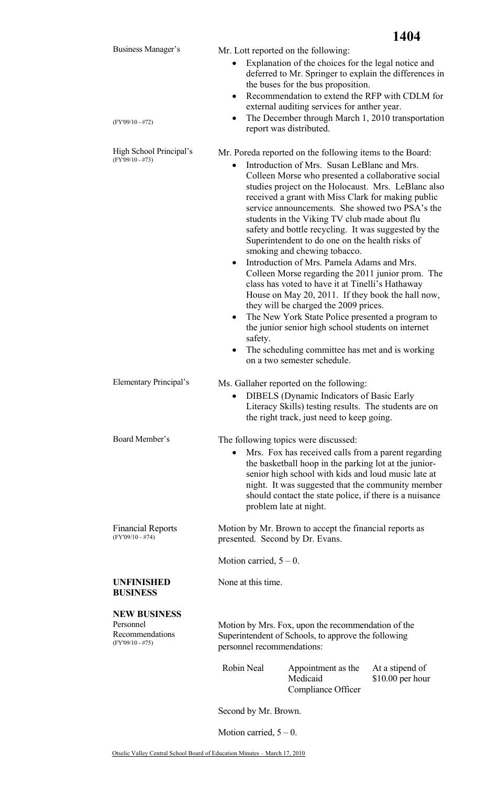|                                                                           | 1404                                                                                                                                                                                                                                                                                                                                                                                                                                                                                                                                                                                                                                                                                                                                                                                                                                                                                                                                                                                                                 |
|---------------------------------------------------------------------------|----------------------------------------------------------------------------------------------------------------------------------------------------------------------------------------------------------------------------------------------------------------------------------------------------------------------------------------------------------------------------------------------------------------------------------------------------------------------------------------------------------------------------------------------------------------------------------------------------------------------------------------------------------------------------------------------------------------------------------------------------------------------------------------------------------------------------------------------------------------------------------------------------------------------------------------------------------------------------------------------------------------------|
| Business Manager's<br>$(FY'09/10 - #72)$                                  | Mr. Lott reported on the following:<br>Explanation of the choices for the legal notice and<br>$\bullet$<br>deferred to Mr. Springer to explain the differences in<br>the buses for the bus proposition.<br>Recommendation to extend the RFP with CDLM for<br>$\bullet$<br>external auditing services for anther year.<br>The December through March 1, 2010 transportation<br>$\bullet$<br>report was distributed.                                                                                                                                                                                                                                                                                                                                                                                                                                                                                                                                                                                                   |
| High School Principal's<br>$(FY'09/10 - #73)$                             | Mr. Poreda reported on the following items to the Board:<br>Introduction of Mrs. Susan LeBlanc and Mrs.<br>$\bullet$<br>Colleen Morse who presented a collaborative social<br>studies project on the Holocaust. Mrs. LeBlanc also<br>received a grant with Miss Clark for making public<br>service announcements. She showed two PSA's the<br>students in the Viking TV club made about flu<br>safety and bottle recycling. It was suggested by the<br>Superintendent to do one on the health risks of<br>smoking and chewing tobacco.<br>Introduction of Mrs. Pamela Adams and Mrs.<br>$\bullet$<br>Colleen Morse regarding the 2011 junior prom. The<br>class has voted to have it at Tinelli's Hathaway<br>House on May 20, 2011. If they book the hall now,<br>they will be charged the 2009 prices.<br>The New York State Police presented a program to<br>٠<br>the junior senior high school students on internet<br>safety.<br>The scheduling committee has met and is working<br>on a two semester schedule. |
| Elementary Principal's                                                    | Ms. Gallaher reported on the following:<br><b>DIBELS</b> (Dynamic Indicators of Basic Early<br>$\bullet$<br>Literacy Skills) testing results. The students are on<br>the right track, just need to keep going.                                                                                                                                                                                                                                                                                                                                                                                                                                                                                                                                                                                                                                                                                                                                                                                                       |
| Board Member's                                                            | The following topics were discussed:<br>Mrs. Fox has received calls from a parent regarding<br>the basketball hoop in the parking lot at the junior-<br>senior high school with kids and loud music late at<br>night. It was suggested that the community member<br>should contact the state police, if there is a nuisance<br>problem late at night.                                                                                                                                                                                                                                                                                                                                                                                                                                                                                                                                                                                                                                                                |
| <b>Financial Reports</b><br>$(FY'09/10 - #74)$                            | Motion by Mr. Brown to accept the financial reports as<br>presented. Second by Dr. Evans.                                                                                                                                                                                                                                                                                                                                                                                                                                                                                                                                                                                                                                                                                                                                                                                                                                                                                                                            |
|                                                                           | Motion carried, $5 - 0$ .                                                                                                                                                                                                                                                                                                                                                                                                                                                                                                                                                                                                                                                                                                                                                                                                                                                                                                                                                                                            |
| <b>UNFINISHED</b><br><b>BUSINESS</b>                                      | None at this time.                                                                                                                                                                                                                                                                                                                                                                                                                                                                                                                                                                                                                                                                                                                                                                                                                                                                                                                                                                                                   |
| <b>NEW BUSINESS</b><br>Personnel<br>Recommendations<br>$(FY'09/10 - #75)$ | Motion by Mrs. Fox, upon the recommendation of the<br>Superintendent of Schools, to approve the following<br>personnel recommendations:                                                                                                                                                                                                                                                                                                                                                                                                                                                                                                                                                                                                                                                                                                                                                                                                                                                                              |
|                                                                           | Robin Neal<br>Appointment as the<br>At a stipend of<br>Medicaid<br>$$10.00$ per hour<br>Compliance Officer                                                                                                                                                                                                                                                                                                                                                                                                                                                                                                                                                                                                                                                                                                                                                                                                                                                                                                           |
|                                                                           | Second by Mr. Brown.                                                                                                                                                                                                                                                                                                                                                                                                                                                                                                                                                                                                                                                                                                                                                                                                                                                                                                                                                                                                 |

Motion carried,  $5 - 0$ .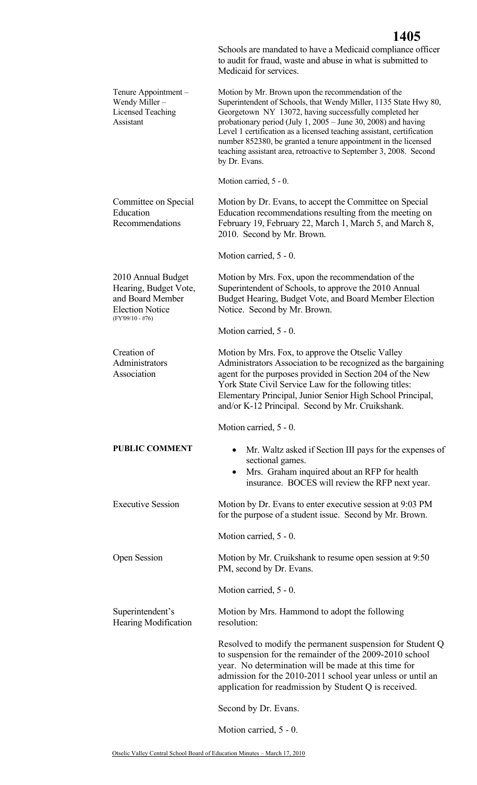|                                                                                                                 | 1405<br>Schools are mandated to have a Medicaid compliance officer<br>to audit for fraud, waste and abuse in what is submitted to<br>Medicaid for services.                                                                                                                                                                                                                                                                                                                        |
|-----------------------------------------------------------------------------------------------------------------|------------------------------------------------------------------------------------------------------------------------------------------------------------------------------------------------------------------------------------------------------------------------------------------------------------------------------------------------------------------------------------------------------------------------------------------------------------------------------------|
| Tenure Appointment -<br>Wendy Miller-<br>Licensed Teaching<br>Assistant                                         | Motion by Mr. Brown upon the recommendation of the<br>Superintendent of Schools, that Wendy Miller, 1135 State Hwy 80,<br>Georgetown NY 13072, having successfully completed her<br>probationary period (July 1, 2005 – June 30, 2008) and having<br>Level 1 certification as a licensed teaching assistant, certification<br>number 852380, be granted a tenure appointment in the licensed<br>teaching assistant area, retroactive to September 3, 2008. Second<br>by Dr. Evans. |
|                                                                                                                 | Motion carried, 5 - 0.                                                                                                                                                                                                                                                                                                                                                                                                                                                             |
| Committee on Special<br>Education<br>Recommendations                                                            | Motion by Dr. Evans, to accept the Committee on Special<br>Education recommendations resulting from the meeting on<br>February 19, February 22, March 1, March 5, and March 8,<br>2010. Second by Mr. Brown.                                                                                                                                                                                                                                                                       |
|                                                                                                                 | Motion carried, 5 - 0.                                                                                                                                                                                                                                                                                                                                                                                                                                                             |
| 2010 Annual Budget<br>Hearing, Budget Vote,<br>and Board Member<br><b>Election Notice</b><br>$(FY'09/10 - #76)$ | Motion by Mrs. Fox, upon the recommendation of the<br>Superintendent of Schools, to approve the 2010 Annual<br>Budget Hearing, Budget Vote, and Board Member Election<br>Notice. Second by Mr. Brown.                                                                                                                                                                                                                                                                              |
|                                                                                                                 | Motion carried, 5 - 0.                                                                                                                                                                                                                                                                                                                                                                                                                                                             |
| Creation of<br>Administrators<br>Association                                                                    | Motion by Mrs. Fox, to approve the Otselic Valley<br>Administrators Association to be recognized as the bargaining<br>agent for the purposes provided in Section 204 of the New<br>York State Civil Service Law for the following titles:<br>Elementary Principal, Junior Senior High School Principal,<br>and/or K-12 Principal. Second by Mr. Cruikshank.                                                                                                                        |
|                                                                                                                 | Motion carried, 5 - 0.                                                                                                                                                                                                                                                                                                                                                                                                                                                             |
| <b>PUBLIC COMMENT</b>                                                                                           | Mr. Waltz asked if Section III pays for the expenses of<br>$\bullet$<br>sectional games.<br>Mrs. Graham inquired about an RFP for health<br>$\bullet$<br>insurance. BOCES will review the RFP next year.                                                                                                                                                                                                                                                                           |
| <b>Executive Session</b>                                                                                        | Motion by Dr. Evans to enter executive session at 9:03 PM<br>for the purpose of a student issue. Second by Mr. Brown.                                                                                                                                                                                                                                                                                                                                                              |
|                                                                                                                 | Motion carried, 5 - 0.                                                                                                                                                                                                                                                                                                                                                                                                                                                             |
| <b>Open Session</b>                                                                                             | Motion by Mr. Cruikshank to resume open session at 9:50<br>PM, second by Dr. Evans.                                                                                                                                                                                                                                                                                                                                                                                                |
|                                                                                                                 | Motion carried, 5 - 0.                                                                                                                                                                                                                                                                                                                                                                                                                                                             |
| Superintendent's<br>Hearing Modification                                                                        | Motion by Mrs. Hammond to adopt the following<br>resolution:                                                                                                                                                                                                                                                                                                                                                                                                                       |
|                                                                                                                 | Resolved to modify the permanent suspension for Student Q<br>to suspension for the remainder of the 2009-2010 school<br>year. No determination will be made at this time for<br>admission for the 2010-2011 school year unless or until an<br>application for readmission by Student Q is received.                                                                                                                                                                                |
|                                                                                                                 | Second by Dr. Evans.                                                                                                                                                                                                                                                                                                                                                                                                                                                               |
|                                                                                                                 | Motion carried, 5 - 0.                                                                                                                                                                                                                                                                                                                                                                                                                                                             |